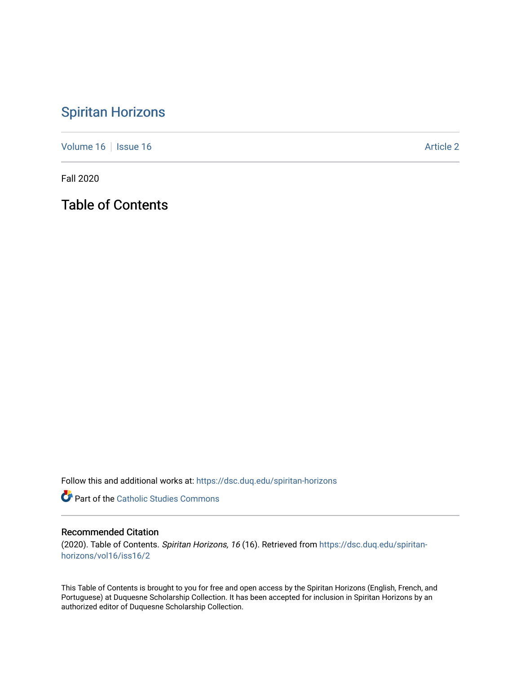## [Spiritan Horizons](https://dsc.duq.edu/spiritan-horizons)

[Volume 16](https://dsc.duq.edu/spiritan-horizons/vol16) | [Issue 16](https://dsc.duq.edu/spiritan-horizons/vol16/iss16) |  $\blacksquare$ 

Fall 2020

Table of Contents

Follow this and additional works at: [https://dsc.duq.edu/spiritan-horizons](https://dsc.duq.edu/spiritan-horizons?utm_source=dsc.duq.edu%2Fspiritan-horizons%2Fvol16%2Fiss16%2F2&utm_medium=PDF&utm_campaign=PDFCoverPages)

**Part of the [Catholic Studies Commons](http://network.bepress.com/hgg/discipline/1294?utm_source=dsc.duq.edu%2Fspiritan-horizons%2Fvol16%2Fiss16%2F2&utm_medium=PDF&utm_campaign=PDFCoverPages)** 

## Recommended Citation

(2020). Table of Contents. Spiritan Horizons, 16 (16). Retrieved from [https://dsc.duq.edu/spiritan](https://dsc.duq.edu/spiritan-horizons/vol16/iss16/2?utm_source=dsc.duq.edu%2Fspiritan-horizons%2Fvol16%2Fiss16%2F2&utm_medium=PDF&utm_campaign=PDFCoverPages)[horizons/vol16/iss16/2](https://dsc.duq.edu/spiritan-horizons/vol16/iss16/2?utm_source=dsc.duq.edu%2Fspiritan-horizons%2Fvol16%2Fiss16%2F2&utm_medium=PDF&utm_campaign=PDFCoverPages)

This Table of Contents is brought to you for free and open access by the Spiritan Horizons (English, French, and Portuguese) at Duquesne Scholarship Collection. It has been accepted for inclusion in Spiritan Horizons by an authorized editor of Duquesne Scholarship Collection.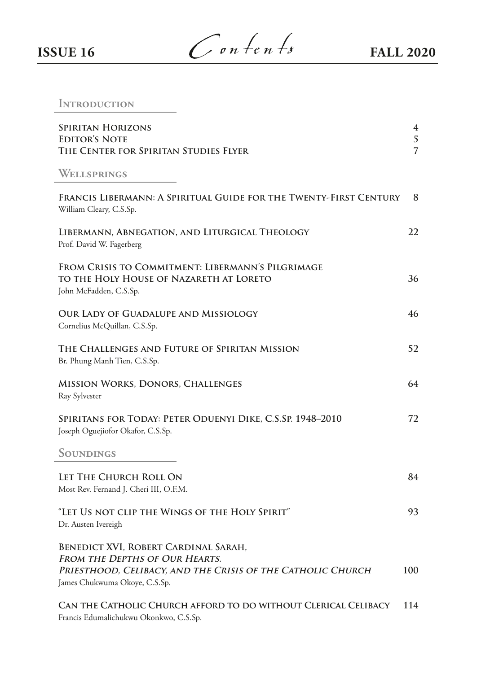**ISSUE 16**  $\int$  on  $\neq$   $n \neq s$  **FALL 2020** 

## **INTRODUCTION**

| <b>SPIRITAN HORIZONS</b><br><b>EDITOR'S NOTE</b><br>THE CENTER FOR SPIRITAN STUDIES FLYER                                                                              | 4<br>5<br>7 |
|------------------------------------------------------------------------------------------------------------------------------------------------------------------------|-------------|
| WELLSPRINGS                                                                                                                                                            |             |
| FRANCIS LIBERMANN: A SPIRITUAL GUIDE FOR THE TWENTY-FIRST CENTURY<br>William Cleary, C.S.Sp.                                                                           | 8           |
| LIBERMANN, ABNEGATION, AND LITURGICAL THEOLOGY<br>Prof. David W. Fagerberg                                                                                             | 22          |
| FROM CRISIS TO COMMITMENT: LIBERMANN'S PILGRIMAGE<br>TO THE HOLY HOUSE OF NAZARETH AT LORETO<br>John McFadden, C.S.Sp.                                                 | 36          |
| OUR LADY OF GUADALUPE AND MISSIOLOGY<br>Cornelius McQuillan, C.S.Sp.                                                                                                   | 46          |
| THE CHALLENGES AND FUTURE OF SPIRITAN MISSION<br>Br. Phung Manh Tien, C.S.Sp.                                                                                          | 52          |
| <b>MISSION WORKS, DONORS, CHALLENGES</b><br>Ray Sylvester                                                                                                              | 64          |
| SPIRITANS FOR TODAY: PETER ODUENYI DIKE, C.S.SP. 1948-2010<br>Joseph Oguejiofor Okafor, C.S.Sp.                                                                        | 72          |
| SOUNDINGS                                                                                                                                                              |             |
| LET THE CHURCH ROLL ON<br>Most Rev. Fernand J. Cheri III, O.F.M.                                                                                                       | 84          |
| "Let Us not clip the Wings of the Holy Spirit"<br>Dr. Austen Ivereigh                                                                                                  | 93          |
| BENEDICT XVI, ROBERT CARDINAL SARAH,<br>FROM THE DEPTHS OF OUR HEARTS.<br>PRIESTHOOD, CELIBACY, AND THE CRISIS OF THE CATHOLIC CHURCH<br>James Chukwuma Okoye, C.S.Sp. | 100         |
| CAN THE CATHOLIC CHURCH AFFORD TO DO WITHOUT CLERICAL CELIBACY<br>Francis Edumalichukwu Okonkwo, C.S.Sp.                                                               | 114         |